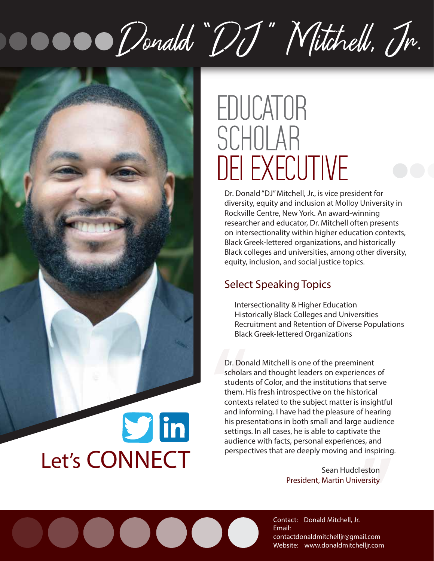# Donald "DJ" Mitchell, In.

 $\bullet$   $\bullet$ 



## EDUCATOR SCHOLAR DEI EXECUTIVE

Dr. Donald "DJ" Mitchell, Jr., is vice president for diversity, equity and inclusion at Molloy University in Rockville Centre, New York. An award-winning researcher and educator, Dr. Mitchell often presents on intersectionality within higher education contexts, Black Greek-lettered organizations, and historically Black colleges and universities, among other diversity, equity, inclusion, and social justice topics.

### **Select Speaking Topics**

**Intersectionality & Higher Education Historically Black Colleges and Universities Recruitment and Retention of Diverse Populations Black Greek-lettered Organizations** 

Dr. Donald Mitchell is one of the preeminent scholars and thought leaders on experiences of students of Color, and the institutions that serve them. **His fresh introspective on the historical contexts related to the subject matter is insightful and informing.** I have had the pleasure of hearing his presentations in both small and large audience settings. In all cases, he is able to captivate the audience with facts, personal experiences, and perspectives that are deeply moving and inspiring. Dr. Dor<br>scholar<br>studen<br>them. P<br>contex<br>and inf<br>his pre:<br>setting<br>audien <sup>Pr</sup> nearing<br>Paudience<br>tte the<br>Pes, and<br>d inspiring.<br>leston<br>versity

**Sean Huddleston** President, Martin University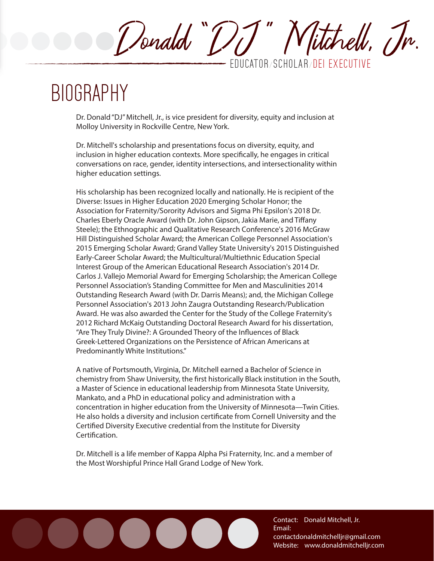Donald "DJ" Nitchell, Jr. EDUCATOR **/** SCHOLAR **/** DEI EXECUTIVE

### BIOGRAPHY

Dr. Donald "DJ" Mitchell, Jr., is vice president for diversity, equity and inclusion at Molloy University in Rockville Centre, New York.

Dr. Mitchell's scholarship and presentations focus on diversity, equity, and inclusion in higher education contexts. More specifically, he engages in critical conversations on race, gender, identity intersections, and intersectionality within higher education settings.

His scholarship has been recognized locally and nationally. He is recipient of the Diverse: Issues in Higher Education 2020 Emerging Scholar Honor; the Association for Fraternity/Sorority Advisors and Sigma Phi Epsilon's 2018 Dr. Charles Eberly Oracle Award (with Dr. John Gipson, Jakia Marie, and Tiffany Steele); the Ethnographic and Qualitative Research Conference's 2016 McGraw Hill Distinguished Scholar Award; the American College Personnel Association's 2015 Emerging Scholar Award; Grand Valley State University's 2015 Distinguished Early-Career Scholar Award; the Multicultural/Multiethnic Education Special Interest Group of the American Educational Research Association's 2014 Dr. Carlos J. Vallejo Memorial Award for Emerging Scholarship; the American College Personnel Association's Standing Committee for Men and Masculinities 2014 Outstanding Research Award (with Dr. Darris Means); and, the Michigan College Personnel Association's 2013 John Zaugra Outstanding Research/Publication Award. He was also awarded the Center for the Study of the College Fraternity's 2012 Richard McKaig Outstanding Doctoral Research Award for his dissertation, "Are They Truly Divine?: A Grounded Theory of the Influences of Black Greek-Lettered Organizations on the Persistence of African Americans at Predominantly White Institutions."

A native of Portsmouth, Virginia, Dr. Mitchell earned a Bachelor of Science in chemistry from Shaw University, the first historically Black institution in the South, a Master of Science in educational leadership from Minnesota State University, Mankato, and a PhD in educational policy and administration with a concentration in higher education from the University of Minnesota—Twin Cities. He also holds a diversity and inclusion certificate from Cornell University and the Certified Diversity Executive credential from the Institute for Diversity Certification.

Dr. Mitchell is a life member of Kappa Alpha Psi Fraternity, Inc. and a member of the Most Worshipful Prince Hall Grand Lodge of New York.

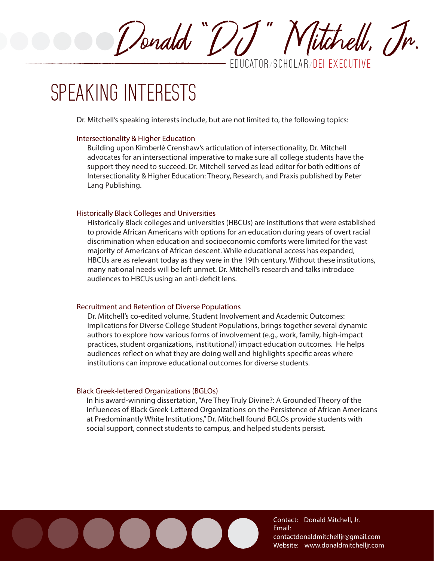Donald "DJ " Mitche, Jr. EDUCATOR **/** SCHOLAR **/** DEI EXECUTIVE

### SPEAKING INTERESTS

**Dr. Mitchell's speaking interests include, but are not limited to, the following topics:** 

#### **Intersectionality & Higher Education**

Building upon Kimberlé Crenshaw's articulation of intersectionality, Dr. Mitchell advocates for an intersectional imperative to make sure all college students have the support they need to succeed. Dr. Mitchell served as lead editor for both editions of Intersectionality & Higher Education: Theory, Research, and Praxis published by Peter Lang Publishing.

### **Historically Black Colleges and Universities**

Historically Black colleges and universities (HBCUs) are institutions that were established to provide African Americans with options for an education during years of overt racial discrimination when education and socioeconomic comforts were limited for the vast majority of Americans of African descent. While educational access has expanded, HBCUs are as relevant today as they were in the 19th century. Without these institutions, many national needs will be left unmet. Dr. Mitchell's research and talks introduce audiences to HBCUs using an anti-deficit lens.

#### **Recruitment and Retention of Diverse Populations**

Dr. Mitchell's co-edited volume, Student Involvement and Academic Outcomes: Implications for Diverse College Student Populations, brings together several dynamic authors to explore how various forms of involvement (e.g., work, family, high-impact practices, student organizations, institutional) impact education outcomes. He helps audiences reflect on what they are doing well and highlights specific areas where institutions can improve educational outcomes for diverse students.

### **Black Greek-lettered Organizations (BGLOs)**

In his award-winning dissertation, "Are They Truly Divine?: A Grounded Theory of the Influences of Black Greek-Lettered Organizations on the Persistence of African Americans at Predominantly White Institutions," Dr. Mitchell found BGLOs provide students with social support, connect students to campus, and helped students persist.

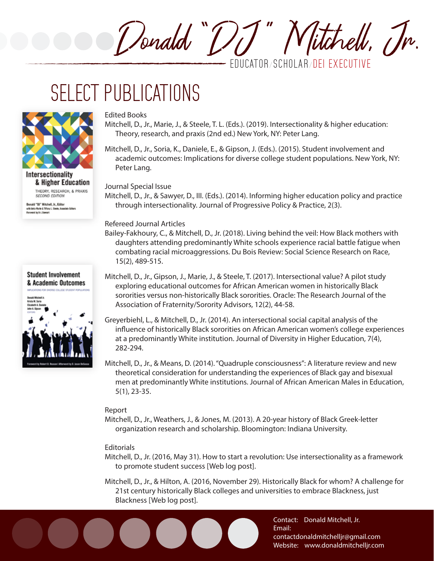Donald "DJ" Nitchell, Jr. EDUCATOR **/** SCHOLAR **/** DEI EXECUTIVE

### SELECT PUBLICATIONS



Intersectionality & Higher Education THEORY, RESEARCH, & PRAXIS **SECOND EDITION** 

Donald "0J" Mitchell, Jr., Editor with Eakle Marke & Tiffany L. Steele, Associate Edit ord by B-L Shewart



#### **Edited Books**

- Mitchell, D., Jr., Marie, J., & Steele, T. L. (Eds.). (2019). Intersectionality & higher education: Theory, research, and praxis (2nd ed.) New York, NY: Peter Lang.
- Mitchell, D., Jr., Soria, K., Daniele, E., & Gipson, J. (Eds.). (2015). Student involvement and academic outcomes: Implications for diverse college student populations. New York, NY: Peter Lang.

**Journal Special Issue**

Mitchell, D., Jr., & Sawyer, D., III. (Eds.). (2014). Informing higher education policy and practice through intersectionality. Journal of Progressive Policy & Practice, 2(3).

#### **Refereed Journal Articles**

- Bailey-Fakhoury, C., & Mitchell, D., Jr. (2018). Living behind the veil: How Black mothers with daughters attending predominantly White schools experience racial battle fatigue when combating racial microaggressions. Du Bois Review: Social Science Research on Race, 15(2), 489-515.
- Mitchell, D., Jr., Gipson, J., Marie, J., & Steele, T. (2017). Intersectional value? A pilot study exploring educational outcomes for African American women in historically Black sororities versus non-historically Black sororities. Oracle: The Research Journal of the Association of Fraternity/Sorority Advisors, 12(2), 44-58.
- Greyerbiehl, L., & Mitchell, D., Jr. (2014). An intersectional social capital analysis of the influence of historically Black sororities on African American women's college experiences at a predominantly White institution. Journal of Diversity in Higher Education, 7(4), 282-294.
- Mitchell, D., Jr., & Means, D. (2014). "Quadruple consciousness": A literature review and new theoretical consideration for understanding the experiences of Black gay and bisexual men at predominantly White institutions. Journal of African American Males in Education, 5(1), 23-35.

#### **Report**

Mitchell, D., Jr., Weathers, J., & Jones, M. (2013). A 20-year history of Black Greek-letter organization research and scholarship. Bloomington: Indiana University.

#### **Editorials**

- Mitchell, D., Jr. (2016, May 31). How to start a revolution: Use intersectionality as a framework to promote student success [Web log post].
- Mitchell, D., Jr., & Hilton, A. (2016, November 29). Historically Black for whom? A challenge for 21st century historically Black colleges and universities to embrace Blackness, just Blackness [Web log post].

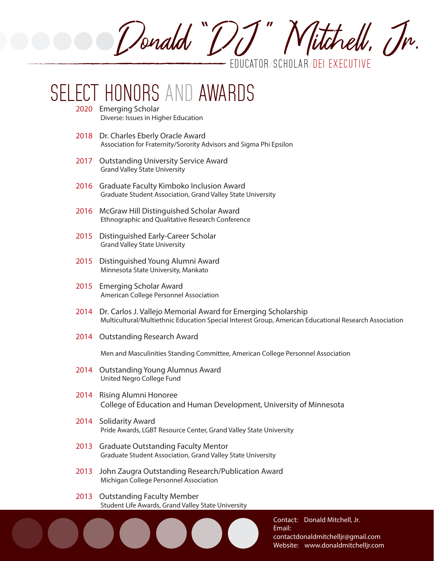Senald "[]] " Mitchell, Tr. EDUCATOR **/** SCHOLAR **/** DEI EXECUTIVE

### HONORS AND AWARDS

- **2020 Emerging Scholar** Diverse: Issues in Higher Education
- **2018 Dr. Charles Eberly Oracle Award** Association for Fraternity/Sorority Advisors and Sigma Phi Epsilon
- **2017 Outstanding University Service Award** Grand Valley State University
- **2016 Graduate Faculty Kimboko Inclusion Award** Graduate Student Association, Grand Valley State University
- **2016 McGraw Hill Distinguished Scholar Award** Ethnographic and Qualitative Research Conference
- **2015 Distinguished Early-Career Scholar** Grand Valley State University
- **2015 Distinguished Young Alumni Award** Minnesota State University, Mankato
- **2015 Emerging Scholar Award** American College Personnel Association
- **2014 Dr. Carlos J. Vallejo Memorial Award for Emerging Scholarship**  Multicultural/Multiethnic Education Special Interest Group, American Educational Research Association
- **2014 Outstanding Research Award**

Men and Masculinities Standing Committee, American College Personnel Association

- **2014 Outstanding Young Alumnus Award** United Negro College Fund
- **2014 Rising Alumni Honoree** College of Education and Human Development, University of Minnesota
- **2014 Solidarity Award** Pride Awards, LGBT Resource Center, Grand Valley State University
- **2013 Graduate Outstanding Faculty Mentor** Graduate Student Association, Grand Valley State University
- **2013 John Zaugra Outstanding Research/Publication Award** Michigan College Personnel Association
- **2013 Outstanding Faculty Member** Student Life Awards, Grand Valley State University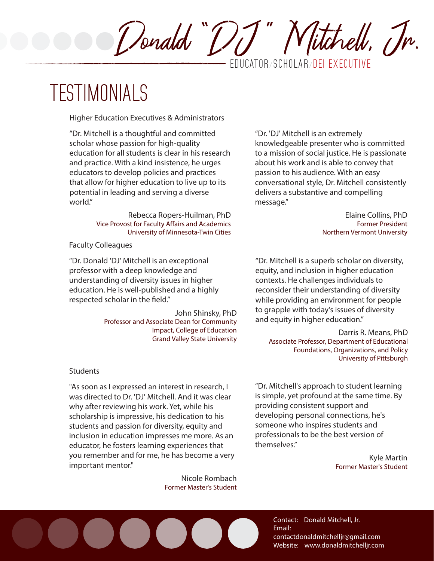EDUCATOR **/** SCHOLAR **/** DEI EXECUTIVE

Donald "DJ" Nitchell, Jr.

### TESTIMONIALS

**Higher Education Executives & Administrators**

"Dr. Mitchell is a thoughtful and committed scholar whose passion for high-quality education for all students is clear in his research and practice. With a kind insistence, he urges educators to develop policies and practices that allow for higher education to live up to its potential in leading and serving a diverse world."

> **Rebecca Ropers-Huilman, PhD** Vice Provost for Faculty Affairs and Academics University of Minnesota-Twin Cities

**Faculty Colleagues** 

"Dr. Donald 'DJ' Mitchell is an exceptional professor with a deep knowledge and understanding of diversity issues in higher education. He is well-published and a highly respected scholar in the field."

> **John Shinsky, PhD** Professor and Associate Dean for Community Impact, College of Education Grand Valley State University

**Students**

"As soon as I expressed an interest in research, I was directed to Dr. 'DJ' Mitchell. And it was clear why after reviewing his work. Yet, while his scholarship is impressive, his dedication to his students and passion for diversity, equity and inclusion in education impresses me more. As an educator, he fosters learning experiences that you remember and for me, he has become a very important mentor."

> **Nicole Rombach** Former Master's Student

"Dr. 'DJ' Mitchell is an extremely knowledgeable presenter who is committed to a mission of social justice. He is passionate about his work and is able to convey that passion to his audience. With an easy conversational style, Dr. Mitchell consistently delivers a substantive and compelling message."

> **Elaine Collins, PhD** Former President Northern Vermont University

"Dr. Mitchell is a superb scholar on diversity, equity, and inclusion in higher education contexts. He challenges individuals to reconsider their understanding of diversity while providing an environment for people to grapple with today's issues of diversity and equity in higher education."

**Darris R. Means, PhD** Associate Professor, Department of Educational Foundations, Organizations, and Policy University of Pittsburgh

"Dr. Mitchell's approach to student learning is simple, yet profound at the same time. By providing consistent support and developing personal connections, he's someone who inspires students and professionals to be the best version of themselves."

> **Kyle Martin** Former Master's Student